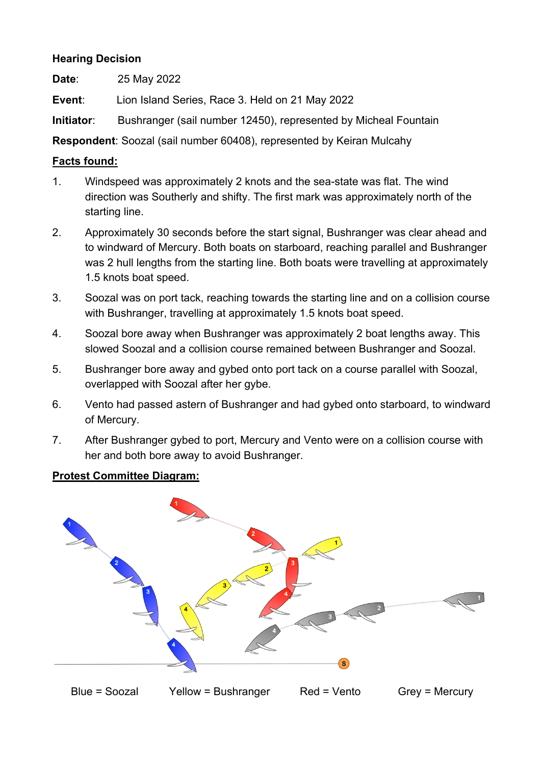# **Hearing Decision**

**Date**: 25 May 2022

**Event**: Lion Island Series, Race 3. Held on 21 May 2022

**Initiator:** Bushranger (sail number 12450), represented by Micheal Fountain

**Respondent**: Soozal (sail number 60408), represented by Keiran Mulcahy

#### **Facts found:**

- 1. Windspeed was approximately 2 knots and the sea-state was flat. The wind direction was Southerly and shifty. The first mark was approximately north of the starting line.
- 2. Approximately 30 seconds before the start signal, Bushranger was clear ahead and to windward of Mercury. Both boats on starboard, reaching parallel and Bushranger was 2 hull lengths from the starting line. Both boats were travelling at approximately 1.5 knots boat speed.
- 3. Soozal was on port tack, reaching towards the starting line and on a collision course with Bushranger, travelling at approximately 1.5 knots boat speed.
- 4. Soozal bore away when Bushranger was approximately 2 boat lengths away. This slowed Soozal and a collision course remained between Bushranger and Soozal.
- 5. Bushranger bore away and gybed onto port tack on a course parallel with Soozal, overlapped with Soozal after her gybe.
- 6. Vento had passed astern of Bushranger and had gybed onto starboard, to windward of Mercury.
- 7. After Bushranger gybed to port, Mercury and Vento were on a collision course with her and both bore away to avoid Bushranger.

## **Protest Committee Diagram:**

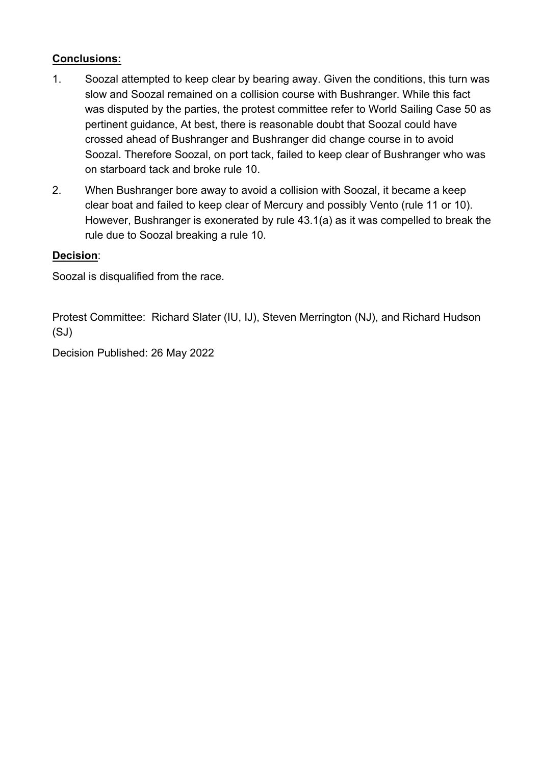# **Conclusions:**

- 1. Soozal attempted to keep clear by bearing away. Given the conditions, this turn was slow and Soozal remained on a collision course with Bushranger. While this fact was disputed by the parties, the protest committee refer to World Sailing Case 50 as pertinent guidance, At best, there is reasonable doubt that Soozal could have crossed ahead of Bushranger and Bushranger did change course in to avoid Soozal. Therefore Soozal, on port tack, failed to keep clear of Bushranger who was on starboard tack and broke rule 10.
- 2. When Bushranger bore away to avoid a collision with Soozal, it became a keep clear boat and failed to keep clear of Mercury and possibly Vento (rule 11 or 10). However, Bushranger is exonerated by rule 43.1(a) as it was compelled to break the rule due to Soozal breaking a rule 10.

### **Decision**:

Soozal is disqualified from the race.

Protest Committee: Richard Slater (IU, IJ), Steven Merrington (NJ), and Richard Hudson (SJ)

Decision Published: 26 May 2022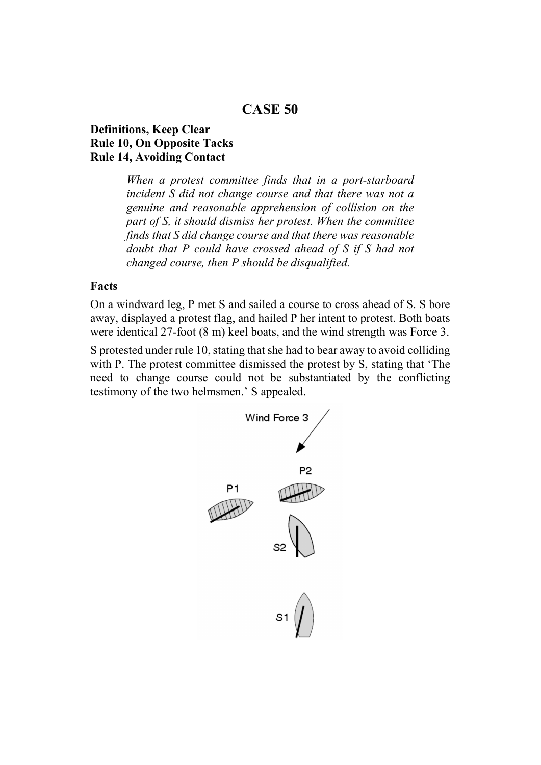# **CASE 50**

#### **Definitions, Keep Clear Rule 10, On Opposite Tacks Rule 14, Avoiding Contact**

*When a protest committee finds that in a port-starboard incident S did not change course and that there was not a genuine and reasonable apprehension of collision on the part of S, it should dismiss her protest. When the committee finds that S did change course and that there was reasonable doubt that P could have crossed ahead of S if S had not changed course, then P should be disqualified.* 

#### **Facts**

On a windward leg, P met S and sailed a course to cross ahead of S. S bore away, displayed a protest flag, and hailed P her intent to protest. Both boats were identical 27-foot (8 m) keel boats, and the wind strength was Force 3.

S protested under rule 10, stating that she had to bear away to avoid colliding with P. The protest committee dismissed the protest by S, stating that 'The need to change course could not be substantiated by the conflicting testimony of the two helmsmen.' S appealed.